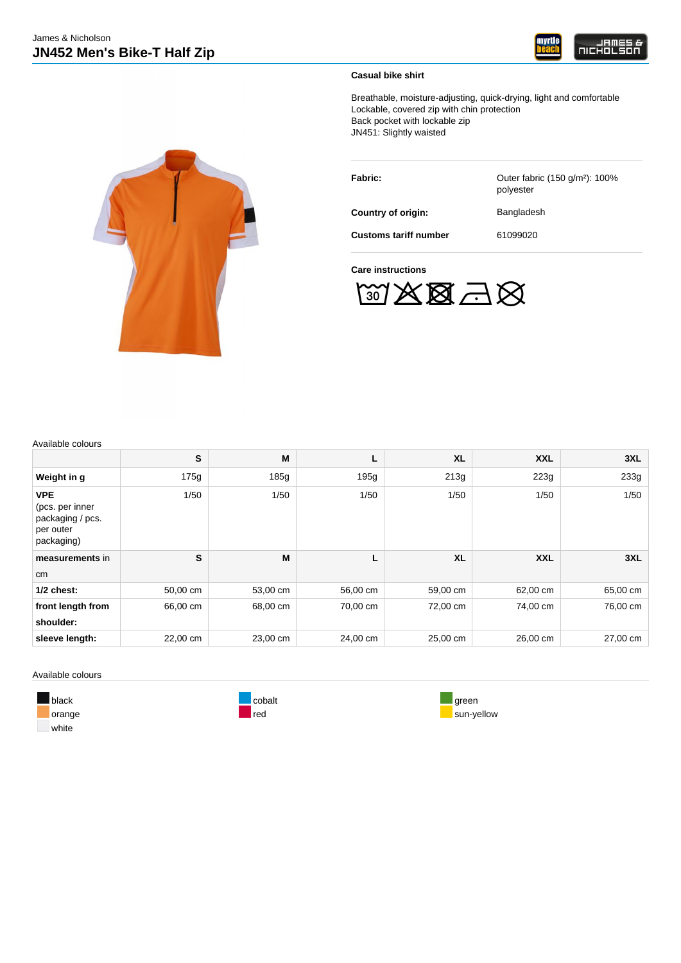

### **Casual bike shirt**

Breathable, moisture-adjusting, quick-drying, light and comfortable Lockable, covered zip with chin protection Back pocket with lockable zip JN451: Slightly waisted

| Fabric:                      | Outer fabric (150 g/m <sup>2</sup> ): 100%<br>polyester |
|------------------------------|---------------------------------------------------------|
| Country of origin:           | Bangladesh                                              |
| <b>Customs tariff number</b> | 61099020                                                |

**Care instructions**



Available colours

|                                                                              | S        | М        | ш        | <b>XL</b> | <b>XXL</b> | 3XL      |
|------------------------------------------------------------------------------|----------|----------|----------|-----------|------------|----------|
|                                                                              |          |          |          |           |            |          |
| Weight in g                                                                  | 175g     | 185g     | 195g     | 213g      | 223g       | 233g     |
| <b>VPE</b><br>(pcs. per inner<br>packaging / pcs.<br>per outer<br>packaging) | 1/50     | 1/50     | 1/50     | 1/50      | 1/50       | 1/50     |
| measurements in                                                              | S        | M        |          | <b>XL</b> | <b>XXL</b> | 3XL      |
| cm                                                                           |          |          |          |           |            |          |
| $1/2$ chest:                                                                 | 50,00 cm | 53,00 cm | 56,00 cm | 59,00 cm  | 62,00 cm   | 65,00 cm |
| front length from<br>shoulder:                                               | 66,00 cm | 68,00 cm | 70,00 cm | 72,00 cm  | 74,00 cm   | 76,00 cm |
| sleeve length:                                                               | 22,00 cm | 23,00 cm | 24,00 cm | 25,00 cm  | 26,00 cm   | 27,00 cm |

Available colours

white